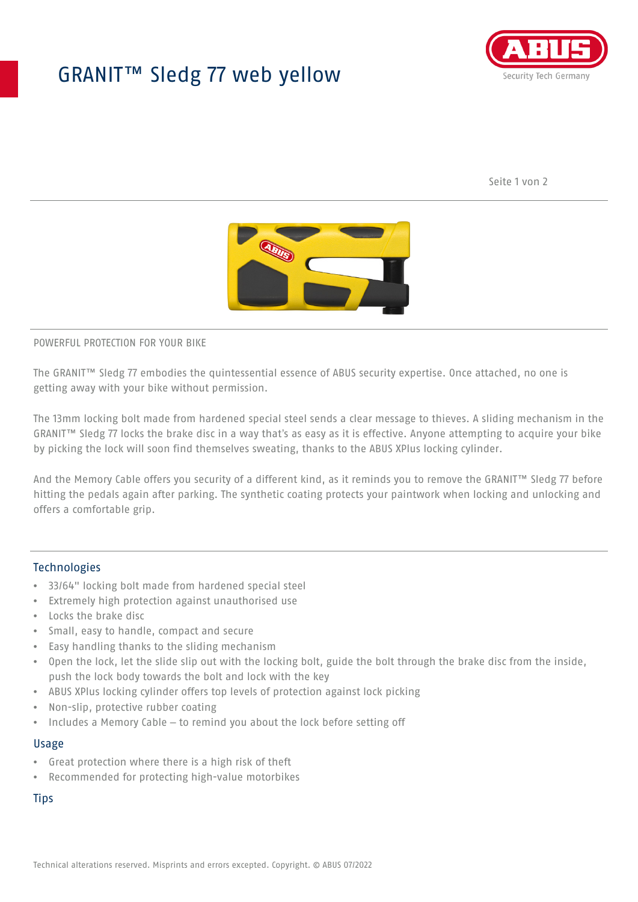## GRANIT™ Sledg 77 web yellow



Seite 1 von 2



POWERFUL PROTECTION FOR YOUR BIKE

The GRANIT™ Sledg 77 embodies the quintessential essence of ABUS security expertise. Once attached, no one is getting away with your bike without permission.

The 13mm locking bolt made from hardened special steel sends a clear message to thieves. A sliding mechanism in the GRANIT™ Sledg 77 locks the brake disc in a way that's as easy as it is effective. Anyone attempting to acquire your bike by picking the lock will soon find themselves sweating, thanks to the ABUS XPlus locking cylinder.

And the Memory Cable offers you security of a different kind, as it reminds you to remove the GRANIT™ Sledg 77 before hitting the pedals again after parking. The synthetic coating protects your paintwork when locking and unlocking and offers a comfortable grip.

## Technologies

- 33/64" locking bolt made from hardened special steel
- Extremely high protection against unauthorised use
- Locks the brake disc
- Small, easy to handle, compact and secure
- Easy handling thanks to the sliding mechanism
- Open the lock, let the slide slip out with the locking bolt, guide the bolt through the brake disc from the inside, push the lock body towards the bolt and lock with the key
- ABUS XPlus locking cylinder offers top levels of protection against lock picking
- Non-slip, protective rubber coating
- Includes a Memory Cable to remind you about the lock before setting off

## Usage

- Great protection where there is a high risk of theft
- Recommended for protecting high-value motorbikes

**Tips**